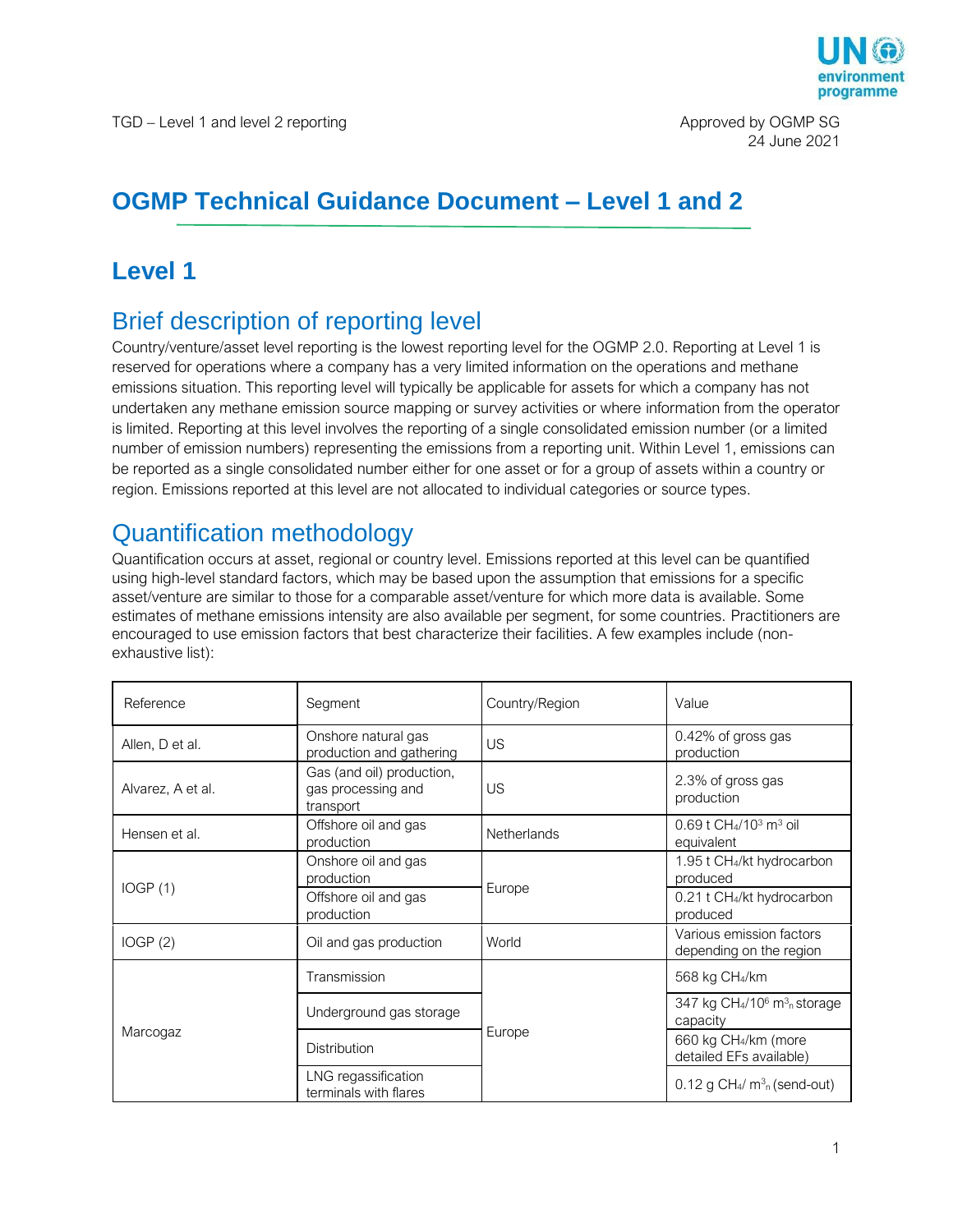

# **OGMP Technical Guidance Document – Level 1 and 2**

# **Level 1**

# Brief description of reporting level

Country/venture/asset level reporting is the lowest reporting level for the OGMP 2.0. Reporting at Level 1 is reserved for operations where a company has a very limited information on the operations and methane emissions situation. This reporting level will typically be applicable for assets for which a company has not undertaken any methane emission source mapping or survey activities or where information from the operator is limited. Reporting at this level involves the reporting of a single consolidated emission number (or a limited number of emission numbers) representing the emissions from a reporting unit. Within Level 1, emissions can be reported as a single consolidated number either for one asset or for a group of assets within a country or region. Emissions reported at this level are not allocated to individual categories or source types.

## Quantification methodology

Quantification occurs at asset, regional or country level. Emissions reported at this level can be quantified using high-level standard factors, which may be based upon the assumption that emissions for a specific asset/venture are similar to those for a comparable asset/venture for which more data is available. Some estimates of methane emissions intensity are also available per segment, for some countries. Practitioners are encouraged to use emission factors that best characterize their facilities. A few examples include (nonexhaustive list):

| Reference         | Segment                                                      | Country/Region     | Value                                                                                   |
|-------------------|--------------------------------------------------------------|--------------------|-----------------------------------------------------------------------------------------|
| Allen, D et al.   | Onshore natural gas<br>production and gathering              | <b>US</b>          | 0.42% of gross gas<br>production                                                        |
| Alvarez, A et al. | Gas (and oil) production,<br>gas processing and<br>transport | US                 | 2.3% of gross gas<br>production                                                         |
| Hensen et al.     | Offshore oil and gas<br>production                           | <b>Netherlands</b> | 0.69 t CH <sub>4</sub> /10 <sup>3</sup> m <sup>3</sup> oil<br>equivalent                |
| IOGP(1)           | Onshore oil and gas<br>production                            | Europe             | 1.95 t CH <sub>4</sub> /kt hydrocarbon<br>produced                                      |
|                   | Offshore oil and gas<br>production                           |                    | 0.21 t CH <sub>4</sub> /kt hydrocarbon<br>produced                                      |
| IOGP(2)           | Oil and gas production                                       | World              | Various emission factors<br>depending on the region                                     |
| Marcogaz          | Transmission                                                 | Europe             | 568 kg CH <sub>4</sub> /km                                                              |
|                   | Underground gas storage                                      |                    | 347 kg CH <sub>4</sub> /10 <sup>6</sup> m <sup>3</sup> <sub>n</sub> storage<br>capacity |
|                   | <b>Distribution</b>                                          |                    | 660 kg CH <sub>4</sub> /km (more<br>detailed EFs available)                             |
|                   | LNG regassification<br>terminals with flares                 |                    | $0.12$ g CH <sub>4</sub> / m <sup>3</sup> <sub>n</sub> (send-out)                       |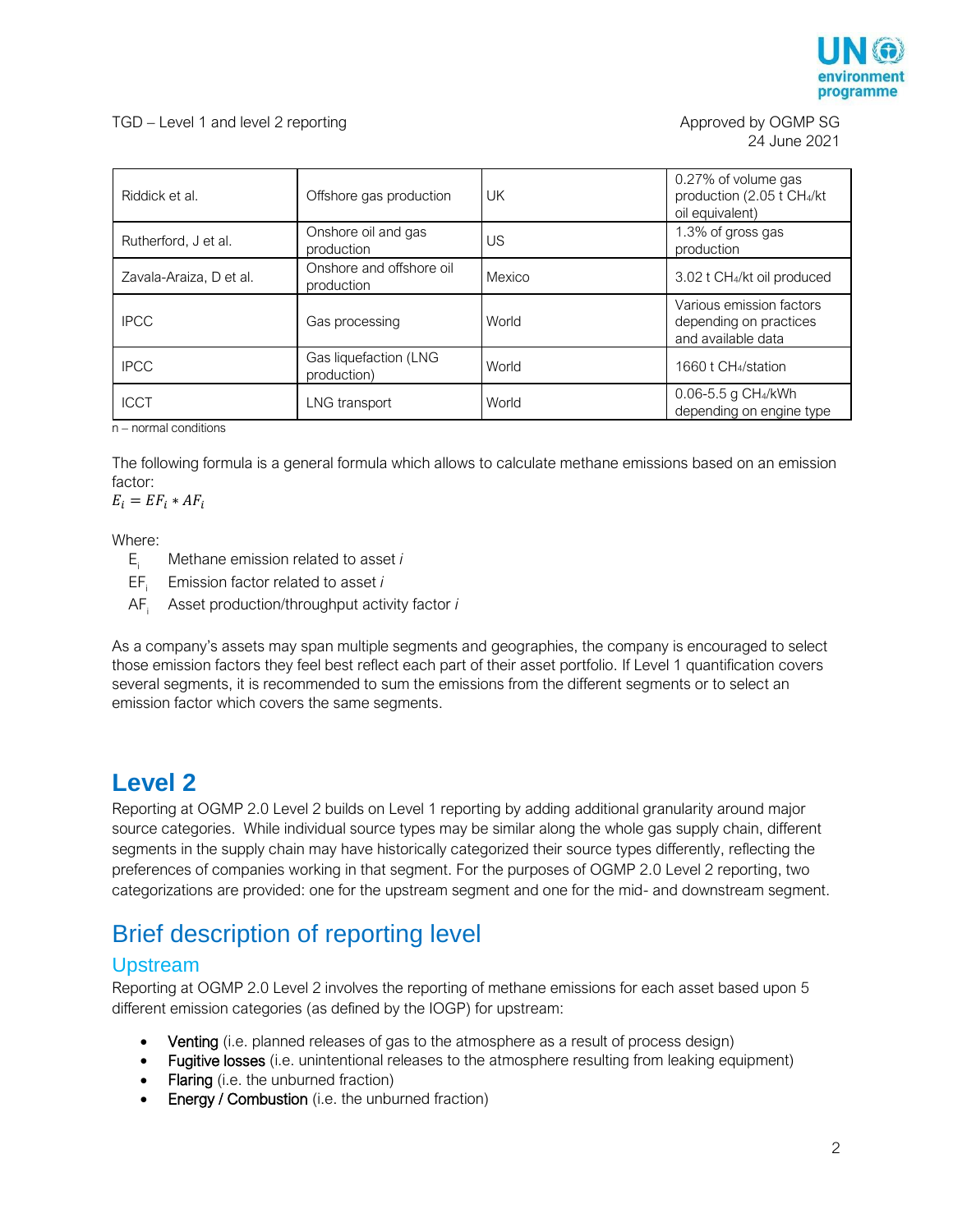

| Riddick et al.          | Offshore gas production                | UK     | 0.27% of volume gas<br>production (2.05 t CH4/kt<br>oil equivalent)      |
|-------------------------|----------------------------------------|--------|--------------------------------------------------------------------------|
| Rutherford, J et al.    | Onshore oil and gas<br>production      | US     | 1.3% of gross gas<br>production                                          |
| Zavala-Araiza, D et al. | Onshore and offshore oil<br>production | Mexico | 3.02 t CH <sub>4</sub> /kt oil produced                                  |
| <b>IPCC</b>             | Gas processing                         | World  | Various emission factors<br>depending on practices<br>and available data |
| <b>IPCC</b>             | Gas liquefaction (LNG<br>production)   | World  | 1660 t CH <sub>4</sub> /station                                          |
| <b>ICCT</b>             | LNG transport                          | World  | 0.06-5.5 g CH <sub>4</sub> /kWh<br>depending on engine type              |

n – normal conditions

The following formula is a general formula which allows to calculate methane emissions based on an emission factor:

 $E_i = EF_i * AF_i$ 

Where:

- $E_i$  Methane emission related to asset *i*<br>EF<sub>i</sub> Emission factor related to asset *i*
- Emission factor related to asset *i*
- AF<sup>i</sup> Asset production/throughput activity factor *i*

As a company's assets may span multiple segments and geographies, the company is encouraged to select those emission factors they feel best reflect each part of their asset portfolio. If Level 1 quantification covers several segments, it is recommended to sum the emissions from the different segments or to select an emission factor which covers the same segments.

## **Level 2**

Reporting at OGMP 2.0 Level 2 builds on Level 1 reporting by adding additional granularity around major source categories. While individual source types may be similar along the whole gas supply chain, different segments in the supply chain may have historically categorized their source types differently, reflecting the preferences of companies working in that segment. For the purposes of OGMP 2.0 Level 2 reporting, two categorizations are provided: one for the upstream segment and one for the mid- and downstream segment.

## Brief description of reporting level

### Upstream

Reporting at OGMP 2.0 Level 2 involves the reporting of methane emissions for each asset based upon 5 different emission categories (as defined by the IOGP) for upstream:

- Venting (i.e. planned releases of gas to the atmosphere as a result of process design)
- Fugitive losses (i.e. unintentional releases to the atmosphere resulting from leaking equipment)
- Flaring (i.e. the unburned fraction)
- Energy / Combustion (i.e. the unburned fraction)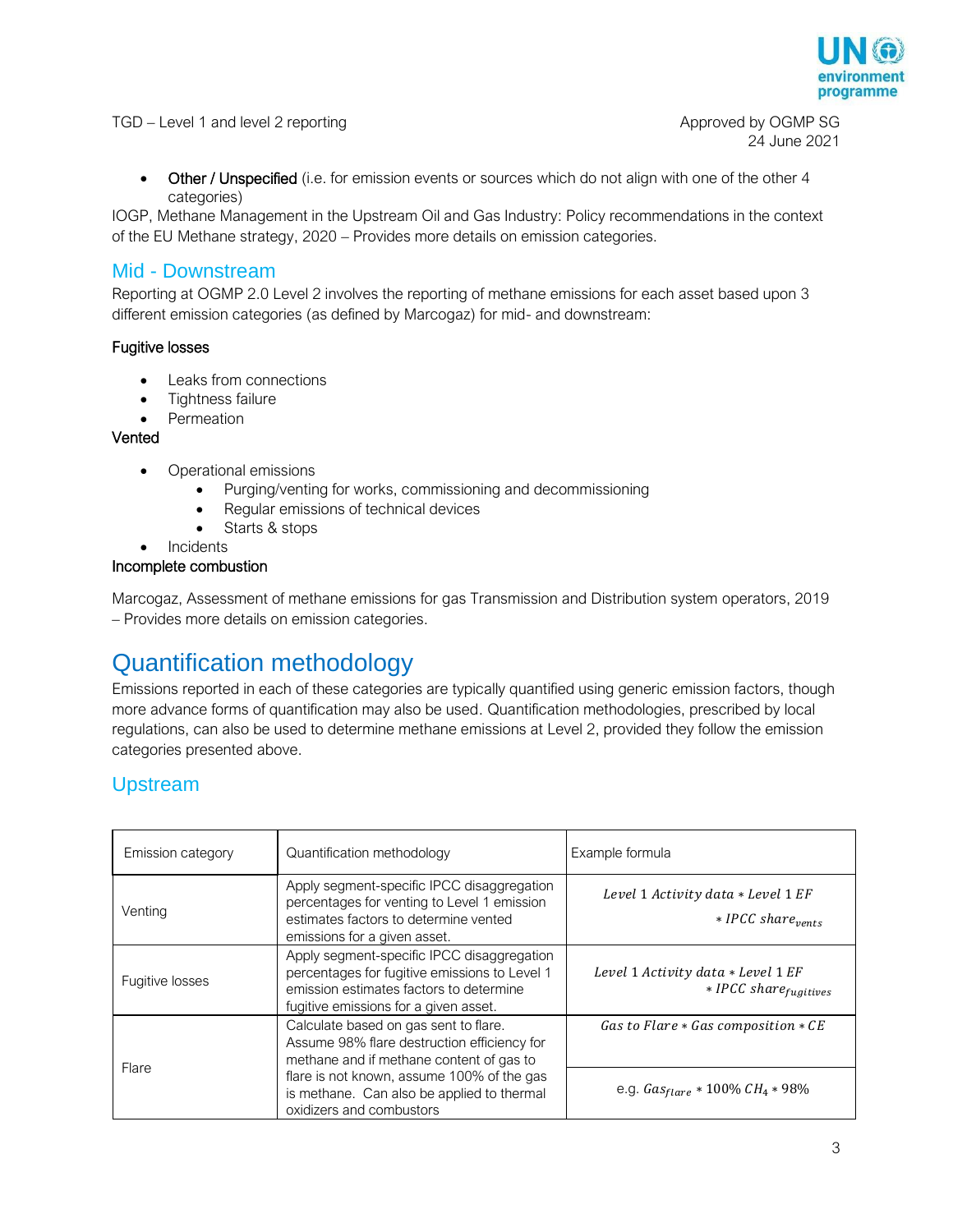

TGD – Level 1 and level 2 reporting Approved by OGMP SG

24 June 2021

• Other / Unspecified (i.e. for emission events or sources which do not align with one of the other 4 categories)

IOGP, Methane Management in the Upstream Oil and Gas Industry: Policy recommendations in the context of the EU Methane strategy, 2020 – Provides more details on emission categories.

### Mid - Downstream

Reporting at OGMP 2.0 Level 2 involves the reporting of methane emissions for each asset based upon 3 different emission categories (as defined by Marcogaz) for mid- and downstream:

#### Fugitive losses

- Leaks from connections
- Tightness failure
- Permeation

#### Vented

- Operational emissions
	- Purging/venting for works, commissioning and decommissioning
	- Regular emissions of technical devices
	- Starts & stops
- **Incidents**

#### Incomplete combustion

Marcogaz, Assessment of methane emissions for gas Transmission and Distribution system operators, 2019 – Provides more details on emission categories.

## Quantification methodology

Emissions reported in each of these categories are typically quantified using generic emission factors, though more advance forms of quantification may also be used. Quantification methodologies, prescribed by local regulations, can also be used to determine methane emissions at Level 2, provided they follow the emission categories presented above.

### Upstream

| Emission category | Quantification methodology                                                                                                                                                                                                                               | Example formula                                                       |
|-------------------|----------------------------------------------------------------------------------------------------------------------------------------------------------------------------------------------------------------------------------------------------------|-----------------------------------------------------------------------|
| Venting           | Apply segment-specific IPCC disaggregation<br>percentages for venting to Level 1 emission<br>estimates factors to determine vented<br>emissions for a given asset.                                                                                       | Level 1 Activity data * Level 1 EF<br>$*$ IPCC share <sub>vents</sub> |
| Fugitive losses   | Apply segment-specific IPCC disaggregation<br>percentages for fugitive emissions to Level 1<br>emission estimates factors to determine<br>fugitive emissions for a given asset.                                                                          | Level 1 Activity data * Level 1 EF<br>$*$ IPCC share fugitives        |
| Flare             | Calculate based on gas sent to flare.<br>Assume 98% flare destruction efficiency for<br>methane and if methane content of gas to<br>flare is not known, assume 100% of the gas<br>is methane. Can also be applied to thermal<br>oxidizers and combustors | Gas to Flare $*$ Gas composition $*$ CE                               |
|                   |                                                                                                                                                                                                                                                          | e.g. $Gas_{flare} * 100\% CH_4 * 98\%$                                |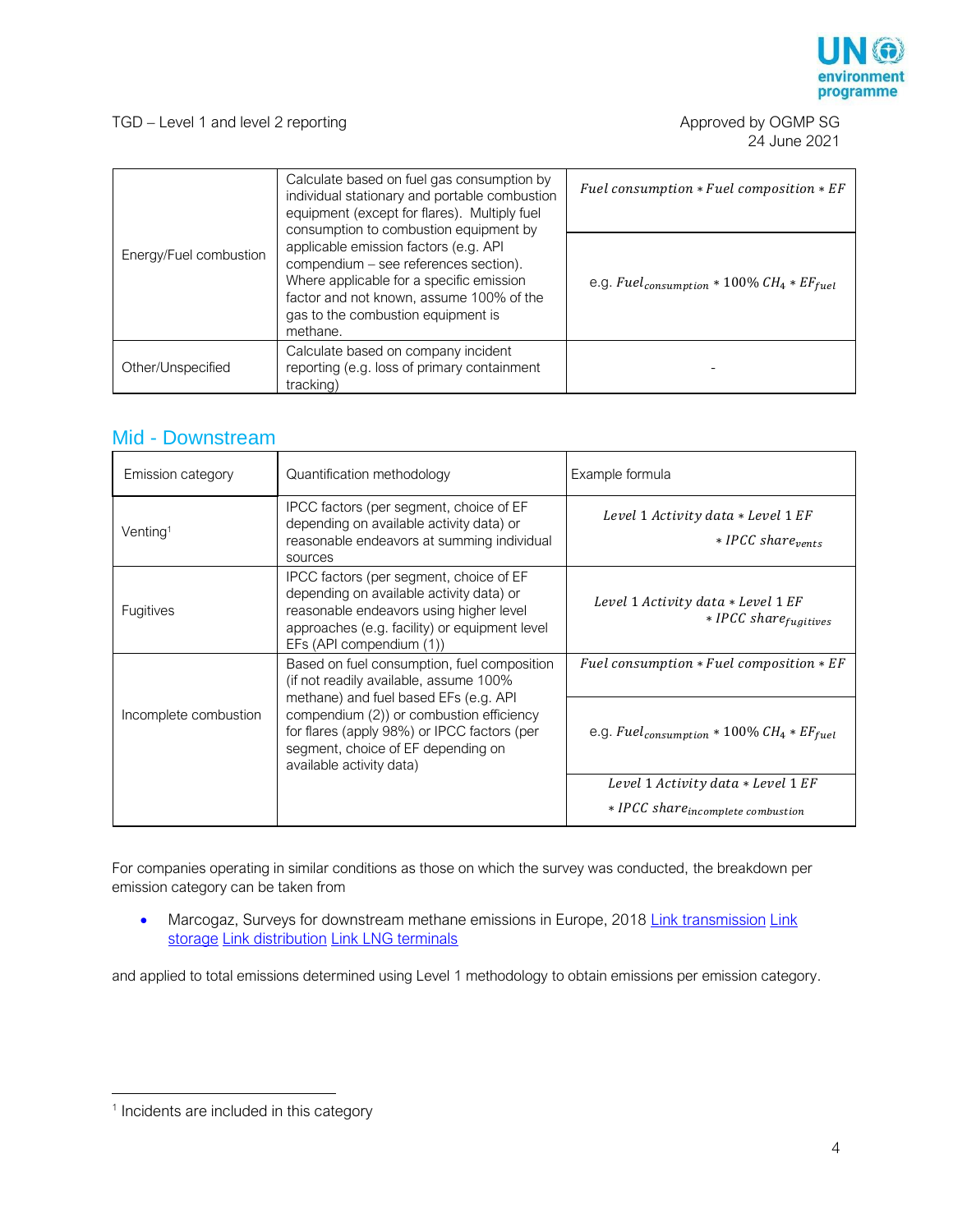

24 June 2021

| Energy/Fuel combustion | Calculate based on fuel gas consumption by<br>individual stationary and portable combustion<br>equipment (except for flares). Multiply fuel<br>consumption to combustion equipment by                                    | Fuel consumption $*$ Fuel composition $*$ EF               |
|------------------------|--------------------------------------------------------------------------------------------------------------------------------------------------------------------------------------------------------------------------|------------------------------------------------------------|
|                        | applicable emission factors (e.g. API<br>compendium - see references section).<br>Where applicable for a specific emission<br>factor and not known, assume 100% of the<br>gas to the combustion equipment is<br>methane. | e.g. Fuel <sub>consumption</sub> * 100% $CH_4 * EF_{fuel}$ |
| Other/Unspecified      | Calculate based on company incident<br>reporting (e.g. loss of primary containment<br>tracking)                                                                                                                          |                                                            |

### Mid - Downstream

| Emission category     | Quantification methodology                                                                                                                                                                                  | Example formula                                                       |
|-----------------------|-------------------------------------------------------------------------------------------------------------------------------------------------------------------------------------------------------------|-----------------------------------------------------------------------|
| Venting <sup>1</sup>  | IPCC factors (per segment, choice of EF<br>depending on available activity data) or<br>reasonable endeavors at summing individual<br>sources                                                                | Level 1 Activity data * Level 1 EF<br>$*$ IPCC share <sub>vents</sub> |
| <b>Fugitives</b>      | IPCC factors (per segment, choice of EF<br>depending on available activity data) or<br>reasonable endeavors using higher level<br>approaches (e.g. facility) or equipment level<br>EFs (API compendium (1)) | Level 1 Activity data * Level 1 EF<br>$*$ IPCC share $_{fugitives}$   |
| Incomplete combustion | Based on fuel consumption, fuel composition<br>(if not readily available, assume 100%                                                                                                                       | Fuel consumption $*$ Fuel composition $*$ EF                          |
|                       | methane) and fuel based EFs (e.g. API<br>compendium (2)) or combustion efficiency<br>for flares (apply 98%) or IPCC factors (per<br>segment, choice of EF depending on<br>available activity data)          | e.g. Fuel <sub>consumption</sub> * 100% $CH_4 * EF_{fuel}$            |
|                       |                                                                                                                                                                                                             | Level 1 Activity data * Level 1 EF                                    |
|                       |                                                                                                                                                                                                             | * IPCC share incomplete combustion                                    |

For companies operating in similar conditions as those on which the survey was conducted, the breakdown per emission category can be taken from

• Marcogaz, Surveys for downstream methane emissions in Europe, 2018 [Link transmission](https://www.marcogaz.org/publications/survey-methane-emissions-for-gas-transmission-in-europe/) Link [storage](https://www.marcogaz.org/publications/survey-methane-emissions-for-underground-gas-storage-ugs-facilities-in-europe/) [Link distribution](https://www.marcogaz.org/publications/survey-methane-emissions-for-gas-distribution-in-europe/) [Link LNG terminals](https://www.marcogaz.org/publications/survey-methane-emissions-for-lng-terminals-in-europe/)

and applied to total emissions determined using Level 1 methodology to obtain emissions per emission category.

 $\overline{a}$ 

<sup>&</sup>lt;sup>1</sup> Incidents are included in this category